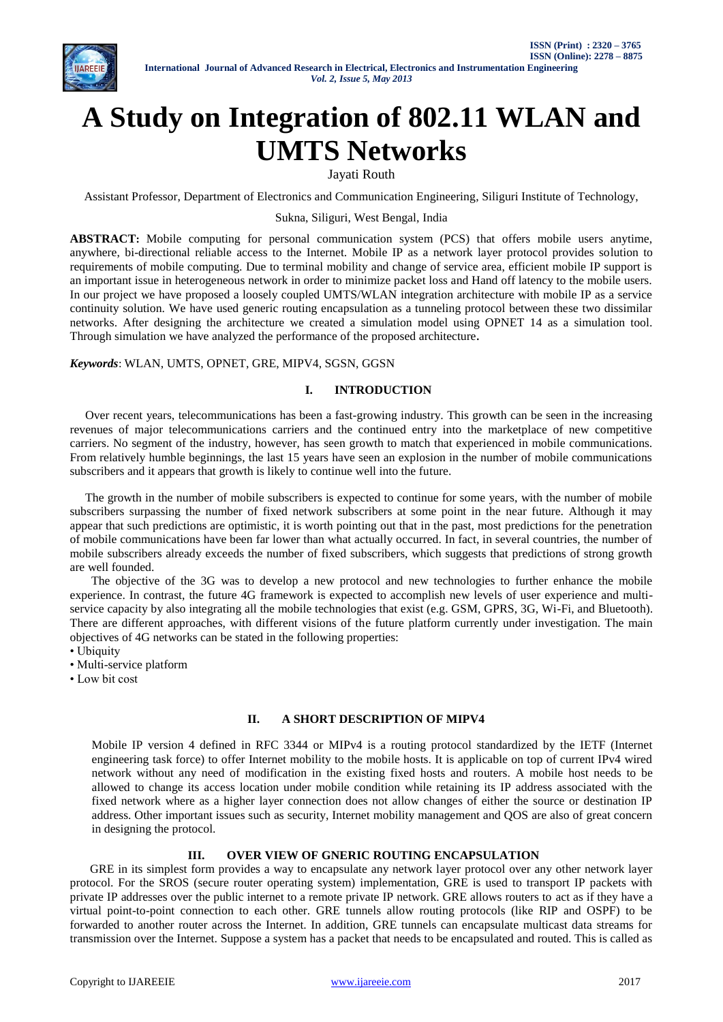

# **A Study on Integration of 802.11 WLAN and UMTS Networks**

Jayati Routh

Assistant Professor, Department of Electronics and Communication Engineering, Siliguri Institute of Technology,

Sukna, Siliguri, West Bengal, India

**ABSTRACT:** Mobile computing for personal communication system (PCS) that offers mobile users anytime, anywhere, bi-directional reliable access to the Internet. Mobile IP as a network layer protocol provides solution to requirements of mobile computing. Due to terminal mobility and change of service area, efficient mobile IP support is an important issue in heterogeneous network in order to minimize packet loss and Hand off latency to the mobile users. In our project we have proposed a loosely coupled UMTS/WLAN integration architecture with mobile IP as a service continuity solution. We have used generic routing encapsulation as a tunneling protocol between these two dissimilar networks. After designing the architecture we created a simulation model using OPNET 14 as a simulation tool. Through simulation we have analyzed the performance of the proposed architecture**.**

*Keywords*: WLAN, UMTS, OPNET, GRE, MIPV4, SGSN, GGSN

## **I. INTRODUCTION**

 Over recent years, telecommunications has been a fast-growing industry. This growth can be seen in the increasing revenues of major telecommunications carriers and the continued entry into the marketplace of new competitive carriers. No segment of the industry, however, has seen growth to match that experienced in mobile communications. From relatively humble beginnings, the last 15 years have seen an explosion in the number of mobile communications subscribers and it appears that growth is likely to continue well into the future.

 The growth in the number of mobile subscribers is expected to continue for some years, with the number of mobile subscribers surpassing the number of fixed network subscribers at some point in the near future. Although it may appear that such predictions are optimistic, it is worth pointing out that in the past, most predictions for the penetration of mobile communications have been far lower than what actually occurred. In fact, in several countries, the number of mobile subscribers already exceeds the number of fixed subscribers, which suggests that predictions of strong growth are well founded.

 The objective of the 3G was to develop a new protocol and new technologies to further enhance the mobile experience. In contrast, the future 4G framework is expected to accomplish new levels of user experience and multiservice capacity by also integrating all the mobile technologies that exist (e.g. GSM, GPRS, 3G, Wi-Fi, and Bluetooth). There are different approaches, with different visions of the future platform currently under investigation. The main objectives of 4G networks can be stated in the following properties:

• Ubiquity

• Multi-service platform

• Low bit cost

# **II. A SHORT DESCRIPTION OF MIPV4**

Mobile IP version 4 defined in RFC 3344 or MIPv4 is a routing protocol standardized by the IETF (Internet engineering task force) to offer Internet mobility to the mobile hosts. It is applicable on top of current IPv4 wired network without any need of modification in the existing fixed hosts and routers. A mobile host needs to be allowed to change its access location under mobile condition while retaining its IP address associated with the fixed network where as a higher layer connection does not allow changes of either the source or destination IP address. Other important issues such as security, Internet mobility management and QOS are also of great concern in designing the protocol.

# **III. OVER VIEW OF GNERIC ROUTING ENCAPSULATION**

 GRE in its simplest form provides a way to encapsulate any network layer protocol over any other network layer protocol. For the SROS (secure router operating system) implementation, GRE is used to transport IP packets with private IP addresses over the public internet to a remote private IP network. GRE allows routers to act as if they have a virtual point-to-point connection to each other. GRE tunnels allow routing protocols (like RIP and OSPF) to be forwarded to another router across the Internet. In addition, GRE tunnels can encapsulate multicast data streams for transmission over the Internet. Suppose a system has a packet that needs to be encapsulated and routed. This is called as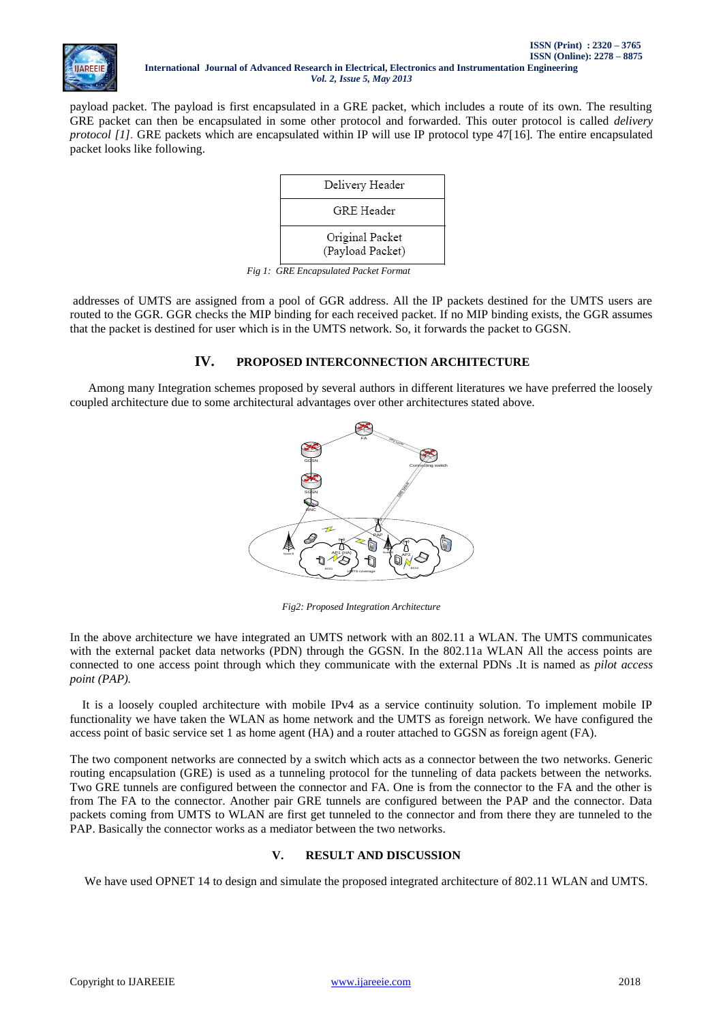

payload packet. The payload is first encapsulated in a GRE packet, which includes a route of its own. The resulting GRE packet can then be encapsulated in some other protocol and forwarded. This outer protocol is called *delivery protocol [1].* GRE packets which are encapsulated within IP will use IP protocol type 47[16]*.* The entire encapsulated packet looks like following.



*Fig 1: GRE Encapsulated Packet Format*

addresses of UMTS are assigned from a pool of GGR address. All the IP packets destined for the UMTS users are routed to the GGR. GGR checks the MIP binding for each received packet. If no MIP binding exists, the GGR assumes that the packet is destined for user which is in the UMTS network. So, it forwards the packet to GGSN.

# **IV. PROPOSED INTERCONNECTION ARCHITECTURE**

 Among many Integration schemes proposed by several authors in different literatures we have preferred the loosely coupled architecture due to some architectural advantages over other architectures stated above.



*Fig2: Proposed Integration Architecture*

In the above architecture we have integrated an UMTS network with an 802.11 a WLAN. The UMTS communicates with the external packet data networks (PDN) through the GGSN. In the 802.11a WLAN All the access points are connected to one access point through which they communicate with the external PDNs .It is named as *pilot access point (PAP).*

 It is a loosely coupled architecture with mobile IPv4 as a service continuity solution. To implement mobile IP functionality we have taken the WLAN as home network and the UMTS as foreign network. We have configured the access point of basic service set 1 as home agent (HA) and a router attached to GGSN as foreign agent (FA).

The two component networks are connected by a switch which acts as a connector between the two networks. Generic routing encapsulation (GRE) is used as a tunneling protocol for the tunneling of data packets between the networks. Two GRE tunnels are configured between the connector and FA. One is from the connector to the FA and the other is from The FA to the connector. Another pair GRE tunnels are configured between the PAP and the connector. Data packets coming from UMTS to WLAN are first get tunneled to the connector and from there they are tunneled to the PAP. Basically the connector works as a mediator between the two networks.

## **V. RESULT AND DISCUSSION**

We have used OPNET 14 to design and simulate the proposed integrated architecture of 802.11 WLAN and UMTS.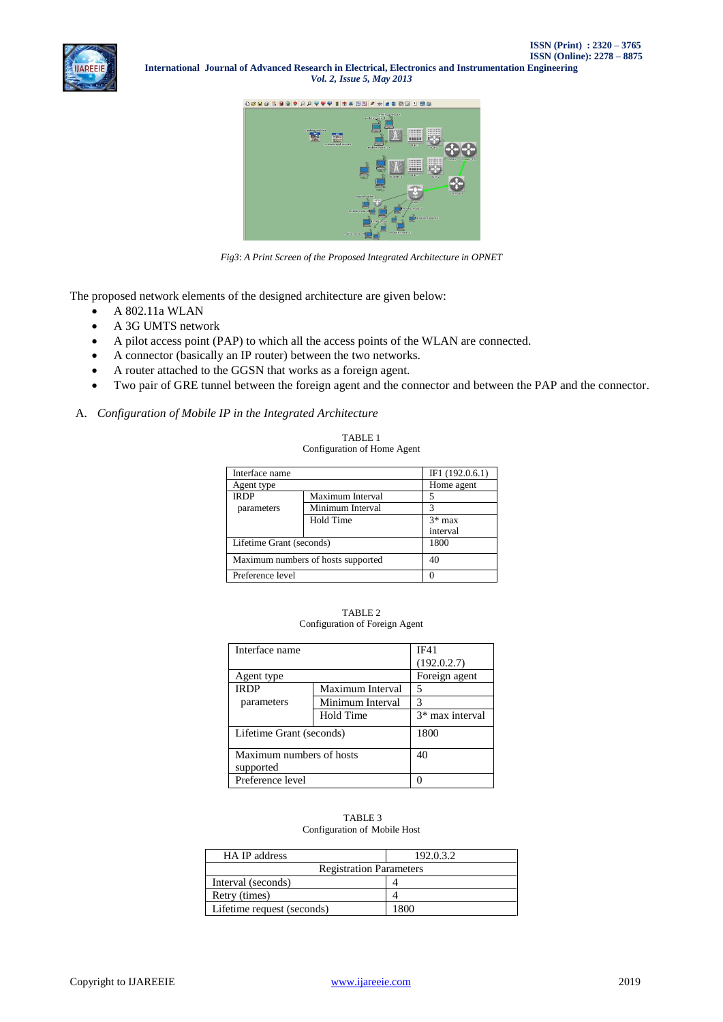**International Journal of Advanced Research in Electrical, Electronics and Instrumentation Engineering** *Vol. 2, Issue 5, May 2013*



*Fig3*: *A Print Screen of the Proposed Integrated Architecture in OPNET*

The proposed network elements of the designed architecture are given below:

- A 802.11a WLAN
- A 3G UMTS network
- A pilot access point (PAP) to which all the access points of the WLAN are connected.
- A connector (basically an IP router) between the two networks.
- A router attached to the GGSN that works as a foreign agent.
- Two pair of GRE tunnel between the foreign agent and the connector and between the PAP and the connector.

# A. *Configuration of Mobile IP in the Integrated Architecture*

| Interface name                     |                  | IF1 $(192.0.6.1)$ |
|------------------------------------|------------------|-------------------|
| Agent type                         |                  | Home agent        |
| <b>IRDP</b>                        | Maximum Interval | 5                 |
| parameters                         | Minimum Interval |                   |
|                                    | Hold Time        | $3*$ max          |
|                                    |                  | interval          |
| Lifetime Grant (seconds)           | 1800             |                   |
| Maximum numbers of hosts supported | 40               |                   |
| Preference level                   | $\Omega$         |                   |

TABLE 1 Configuration of Home Agent

| TABLE 2                        |  |
|--------------------------------|--|
| Configuration of Foreign Agent |  |

| Interface name                        | IF41             |                 |
|---------------------------------------|------------------|-----------------|
|                                       |                  | (192.0.2.7)     |
| Agent type                            |                  | Foreign agent   |
| IRDP                                  | Maximum Interval | 5               |
| parameters                            | Minimum Interval | 3               |
|                                       | Hold Time        | 3* max interval |
| Lifetime Grant (seconds)              | 1800             |                 |
| Maximum numbers of hosts<br>supported | 40               |                 |
| Preference level                      |                  |                 |

#### TABLE 3 Configuration of Mobile Host

| HA IP address                  | 192.0.3.2 |
|--------------------------------|-----------|
| <b>Registration Parameters</b> |           |
| Interval (seconds)             |           |
| Retry (times)                  |           |
| Lifetime request (seconds)     | 1800      |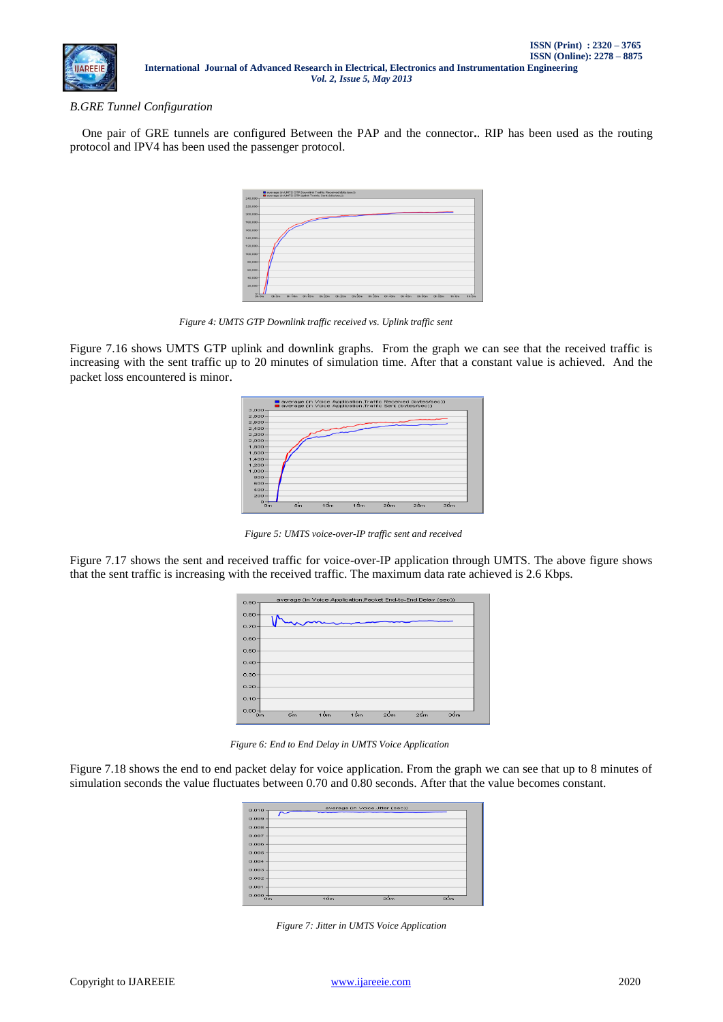

## *B.GRE Tunnel Configuration*

One pair of GRE tunnels are configured Between the PAP and the connector**.**. RIP has been used as the routing protocol and IPV4 has been used the passenger protocol.

| 240,000     | average (in UMTS GTP.Uplink Traffic Sent (bits/sec)) |  |  |  |  |  |  |
|-------------|------------------------------------------------------|--|--|--|--|--|--|
| 220,000     |                                                      |  |  |  |  |  |  |
| $200,000 -$ |                                                      |  |  |  |  |  |  |
| 180,000     |                                                      |  |  |  |  |  |  |
| 160,000-    |                                                      |  |  |  |  |  |  |
| 140,000     |                                                      |  |  |  |  |  |  |
| 120,000     |                                                      |  |  |  |  |  |  |
| $100,000 -$ |                                                      |  |  |  |  |  |  |
| 80,000      |                                                      |  |  |  |  |  |  |
| 60,000      |                                                      |  |  |  |  |  |  |
| $40,000 -$  |                                                      |  |  |  |  |  |  |
| 20,000      |                                                      |  |  |  |  |  |  |
|             |                                                      |  |  |  |  |  |  |

 *Figure 4: UMTS GTP Downlink traffic received vs. Uplink traffic sent*

Figure 7.16 shows UMTS GTP uplink and downlink graphs. From the graph we can see that the received traffic is increasing with the sent traffic up to 20 minutes of simulation time. After that a constant value is achieved. And the packet loss encountered is minor.



 *Figure 5: UMTS voice-over-IP traffic sent and received*

Figure 7.17 shows the sent and received traffic for voice-over-IP application through UMTS. The above figure shows that the sent traffic is increasing with the received traffic. The maximum data rate achieved is 2.6 Kbps.



*Figure 6: End to End Delay in UMTS Voice Application*

Figure 7.18 shows the end to end packet delay for voice application. From the graph we can see that up to 8 minutes of simulation seconds the value fluctuates between 0.70 and 0.80 seconds. After that the value becomes constant.

| $0.010 -$            |     | average (in Voice.Jitter (sec)) |     |
|----------------------|-----|---------------------------------|-----|
| 0.009                |     |                                 |     |
| $0.008 -$            |     |                                 |     |
| 0.007                |     |                                 |     |
| $0.006 -$            |     |                                 |     |
| $0.005 -$            |     |                                 |     |
| 0.004                |     |                                 |     |
| $0.003 -$            |     |                                 |     |
| $0.002 -$            |     |                                 |     |
| 0.001                |     |                                 |     |
| $0.000 -$<br>$_{cm}$ | 10m | 20m                             | 30m |

*Figure 7: Jitter in UMTS Voice Application*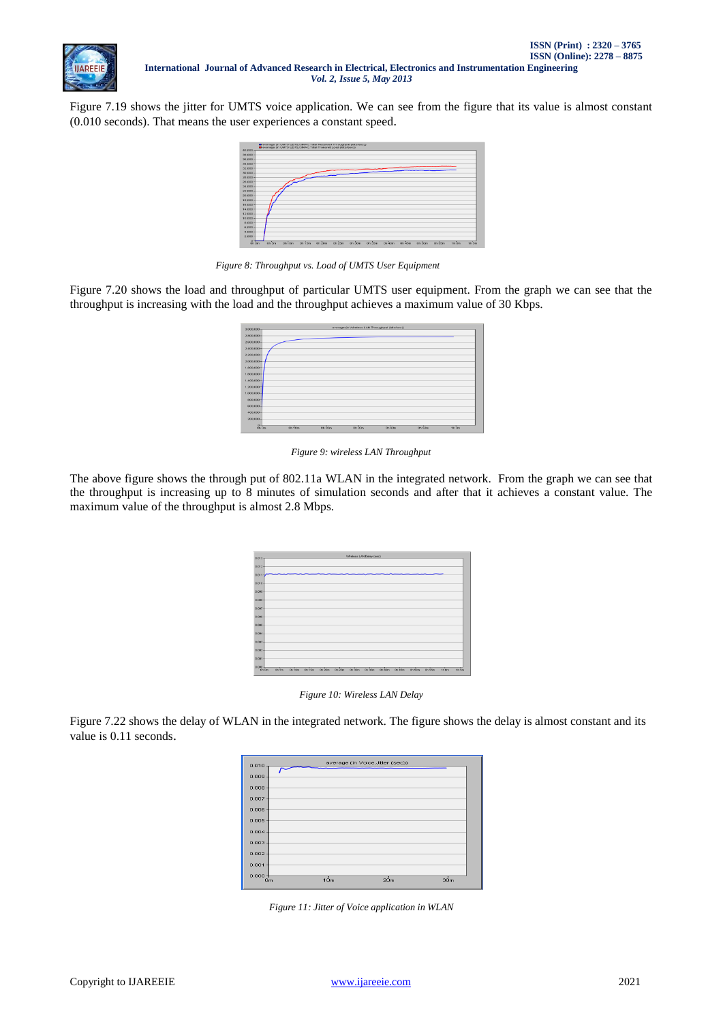

Figure 7.19 shows the jitter for UMTS voice application. We can see from the figure that its value is almost constant (0.010 seconds). That means the user experiences a constant speed.



 *Figure 8: Throughput vs. Load of UMTS User Equipment*

Figure 7.20 shows the load and throughput of particular UMTS user equipment. From the graph we can see that the throughput is increasing with the load and the throughput achieves a maximum value of 30 Kbps.



 *Figure 9: wireless LAN Throughput*

The above figure shows the through put of 802.11a WLAN in the integrated network. From the graph we can see that the throughput is increasing up to 8 minutes of simulation seconds and after that it achieves a constant value. The maximum value of the throughput is almost 2.8 Mbps.

| $0.013 -$   |        |        |        |                    |                   | Véreless LANDelay (sec) |        |          |          |        |        |       |       |
|-------------|--------|--------|--------|--------------------|-------------------|-------------------------|--------|----------|----------|--------|--------|-------|-------|
|             |        |        |        |                    |                   |                         |        |          |          |        |        |       |       |
| $0.012 +$   |        |        |        |                    |                   |                         |        |          |          |        |        |       |       |
| $0.011 - 4$ |        |        |        |                    |                   |                         |        |          |          |        |        |       |       |
| $0.010 -$   |        |        |        |                    |                   |                         |        |          |          |        |        |       |       |
| $0.009 -$   |        |        |        |                    |                   |                         |        |          |          |        |        |       |       |
| $0.008 -$   |        |        |        |                    |                   |                         |        |          |          |        |        |       |       |
| 0.007       |        |        |        |                    |                   |                         |        |          |          |        |        |       |       |
| $0.008 -$   |        |        |        |                    |                   |                         |        |          |          |        |        |       |       |
| $0.005 -$   |        |        |        |                    |                   |                         |        |          |          |        |        |       |       |
| $0.004 -$   |        |        |        |                    |                   |                         |        |          |          |        |        |       |       |
| $0.003 -$   |        |        |        |                    |                   |                         |        |          |          |        |        |       |       |
| $0.002 -$   |        |        |        |                    |                   |                         |        |          |          |        |        |       |       |
| $0.001 -$   |        |        |        |                    |                   |                         |        |          |          |        |        |       |       |
| $0.000 +$   | Oh fim | On 10m | Oh 15m | O <sub>1</sub> 20m | cn <sub>25m</sub> | 0h 30m                  | Ch 35m | $On$ 40m | $On$ 45m | Oh SOm | Oh 55m | 1h On | 1h Sm |

*Figure 10: Wireless LAN Delay*

Figure 7.22 shows the delay of WLAN in the integrated network. The figure shows the delay is almost constant and its value is 0.11 seconds.

| average (in Voice.Jitter (sec))<br>$0.010 -$             |
|----------------------------------------------------------|
| $0.009 -$                                                |
| 0.008                                                    |
| 0.007                                                    |
| $0.006 -$                                                |
| $0.005 -$                                                |
| $0.004 -$                                                |
| $0.003 -$                                                |
| $0.002 -$                                                |
| 0.001                                                    |
| 0.000<br>10 <sub>m</sub><br>20m<br>30 <sub>m</sub><br>Om |

*Figure 11: Jitter of Voice application in WLAN*